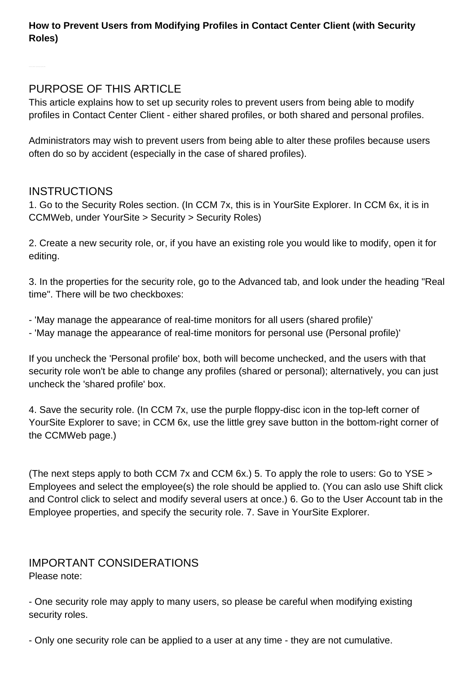### **How to Prevent Users from Modifying Profiles in Contact Center Client (with Security Roles)**

## PURPOSE OF THIS ARTICLE

This article explains how to set up security roles to prevent users from being able to modify profiles in Contact Center Client - either shared profiles, or both shared and personal profiles.

Administrators may wish to prevent users from being able to alter these profiles because users often do so by accident (especially in the case of shared profiles).

## INSTRUCTIONS

1. Go to the Security Roles section. (In CCM 7x, this is in YourSite Explorer. In CCM 6x, it is in CCMWeb, under YourSite > Security > Security Roles)

2. Create a new security role, or, if you have an existing role you would like to modify, open it for editing.

3. In the properties for the security role, go to the Advanced tab, and look under the heading "Real time". There will be two checkboxes:

- 'May manage the appearance of real-time monitors for all users (shared profile)'
- 'May manage the appearance of real-time monitors for personal use (Personal profile)'

If you uncheck the 'Personal profile' box, both will become unchecked, and the users with that security role won't be able to change any profiles (shared or personal); alternatively, you can just uncheck the 'shared profile' box.

4. Save the security role. (In CCM 7x, use the purple floppy-disc icon in the top-left corner of YourSite Explorer to save; in CCM 6x, use the little grey save button in the bottom-right corner of the CCMWeb page.)

(The next steps apply to both CCM 7x and CCM 6x.) 5. To apply the role to users: Go to YSE > Employees and select the employee(s) the role should be applied to. (You can aslo use Shift click and Control click to select and modify several users at once.) 6. Go to the User Account tab in the Employee properties, and specify the security role. 7. Save in YourSite Explorer.

# IMPORTANT CONSIDERATIONS

Please note:

- One security role may apply to many users, so please be careful when modifying existing security roles.

- Only one security role can be applied to a user at any time - they are not cumulative.